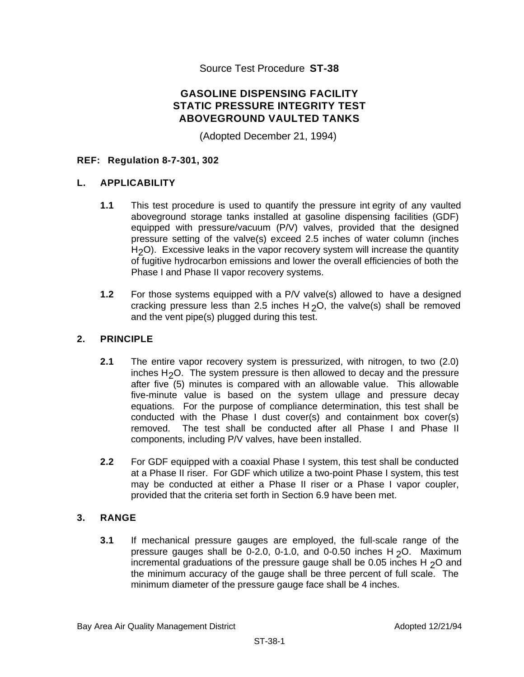Source Test Procedure **ST-38** 

# **GASOLINE DISPENSING FACILITY STATIC PRESSURE INTEGRITY TEST ABOVEGROUND VAULTED TANKS**

(Adopted December 21, 1994)

### **REF: Regulation 8-7-301, 302**

#### **L. APPLICABILITY**

- **1.1** This test procedure is used to quantify the pressure int egrity of any vaulted aboveground storage tanks installed at gasoline dispensing facilities (GDF) equipped with pressure/vacuum (P/V) valves, provided that the designed pressure setting of the valve(s) exceed 2.5 inches of water column (inches H<sub>2</sub>O). Excessive leaks in the vapor recovery system will increase the quantity of fugitive hydrocarbon emissions and lower the overall efficiencies of both the Phase I and Phase II vapor recovery systems.
- **1.2** For those systems equipped with a P/V valve(s) allowed to have a designed cracking pressure less than 2.5 inches  $H_2O$ , the valve(s) shall be removed and the vent pipe(s) plugged during this test.

### **2. PRINCIPLE**

- **2.1** The entire vapor recovery system is pressurized, with nitrogen, to two (2.0) inches H2O. The system pressure is then allowed to decay and the pressure after five (5) minutes is compared with an allowable value. This allowable five-minute value is based on the system ullage and pressure decay equations. For the purpose of compliance determination, this test shall be conducted with the Phase I dust cover(s) and containment box cover(s) removed. The test shall be conducted after all Phase I and Phase II components, including P/V valves, have been installed.
- **2.2** For GDF equipped with a coaxial Phase I system, this test shall be conducted at a Phase II riser. For GDF which utilize a two-point Phase I system, this test may be conducted at either a Phase II riser or a Phase I vapor coupler, provided that the criteria set forth in Section 6.9 have been met.

#### **3. RANGE**

**3.1** If mechanical pressure gauges are employed, the full-scale range of the pressure gauges shall be  $0-2.0$ ,  $0-1.0$ , and  $0-0.50$  inches H<sub>2</sub>O. Maximum incremental graduations of the pressure gauge shall be 0.05 inches H  $_2$ O and the minimum accuracy of the gauge shall be three percent of full scale. The minimum diameter of the pressure gauge face shall be 4 inches.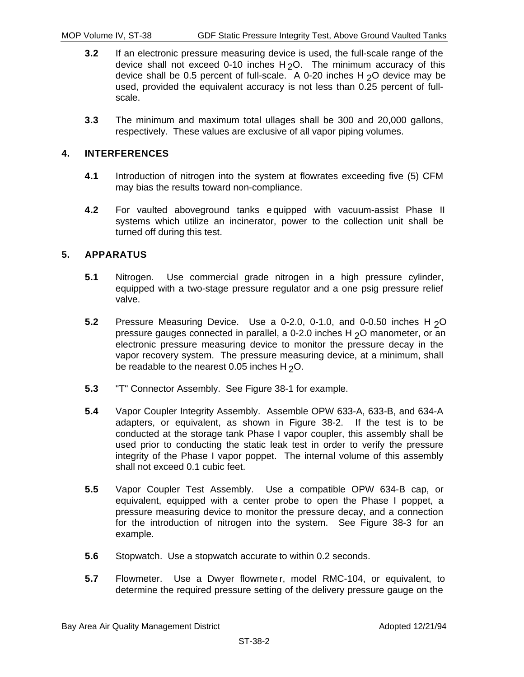- **3.2** If an electronic pressure measuring device is used, the full-scale range of the device shall not exceed 0-10 inches  $H_2O$ . The minimum accuracy of this device shall be 0.5 percent of full-scale. A 0-20 inches H  $20$  device may be used, provided the equivalent accuracy is not less than 0.25 percent of fullscale.
- **3.3** The minimum and maximum total ullages shall be 300 and 20,000 gallons, respectively. These values are exclusive of all vapor piping volumes.

# **4. INTERFERENCES**

- **4.1** Introduction of nitrogen into the system at flowrates exceeding five (5) CFM may bias the results toward non-compliance.
- **4.2** For vaulted aboveground tanks e quipped with vacuum-assist Phase II systems which utilize an incinerator, power to the collection unit shall be turned off during this test.

# **5. APPARATUS**

- **5.1** Nitrogen. Use commercial grade nitrogen in a high pressure cylinder, equipped with a two-stage pressure regulator and a one psig pressure relief valve.
- **5.2** Pressure Measuring Device. Use a 0-2.0, 0-1.0, and 0-0.50 inches H<sub>2</sub>O pressure gauges connected in parallel, a 0-2.0 inches H 2O manometer, or an electronic pressure measuring device to monitor the pressure decay in the vapor recovery system. The pressure measuring device, at a minimum, shall be readable to the nearest 0.05 inches H  $2^{\circ}$ O.
- **5.3** "T" Connector Assembly. See Figure 38-1 for example.
- **5.4** Vapor Coupler Integrity Assembly. Assemble OPW 633-A, 633-B, and 634-A adapters, or equivalent, as shown in Figure 38-2. If the test is to be conducted at the storage tank Phase I vapor coupler, this assembly shall be used prior to conducting the static leak test in order to verify the pressure integrity of the Phase I vapor poppet. The internal volume of this assembly shall not exceed 0.1 cubic feet.
- **5.5** Vapor Coupler Test Assembly. Use a compatible OPW 634-B cap, or equivalent, equipped with a center probe to open the Phase I poppet, a pressure measuring device to monitor the pressure decay, and a connection for the introduction of nitrogen into the system. See Figure 38-3 for an example.
- **5.6** Stopwatch. Use a stopwatch accurate to within 0.2 seconds.
- **5.7** Flowmeter. Use a Dwyer flowmete r, model RMC-104, or equivalent, to determine the required pressure setting of the delivery pressure gauge on the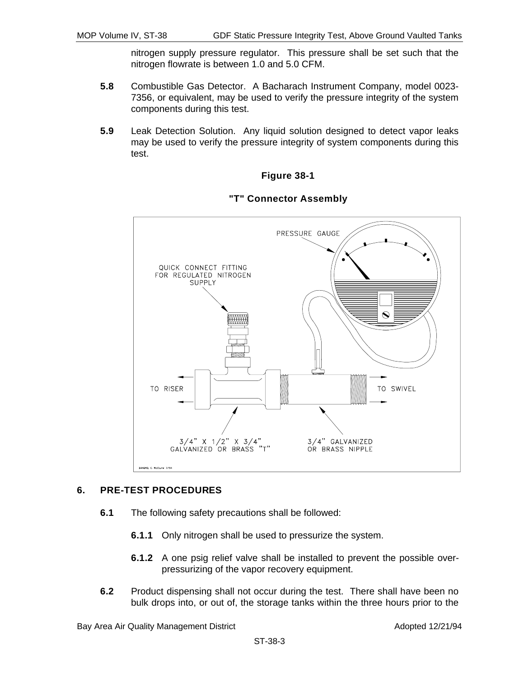nitrogen supply pressure regulator. This pressure shall be set such that the nitrogen flowrate is between 1.0 and 5.0 CFM.

- **5.8** Combustible Gas Detector. A Bacharach Instrument Company, model 0023- 7356, or equivalent, may be used to verify the pressure integrity of the system components during this test.
- **5.9** Leak Detection Solution. Any liquid solution designed to detect vapor leaks may be used to verify the pressure integrity of system components during this test.

#### **Figure 38-1**



#### **"T" Connector Assembly**

#### **6. PRE-TEST PROCEDURES**

- **6.1** The following safety precautions shall be followed:
	- **6.1.1** Only nitrogen shall be used to pressurize the system.
	- **6.1.2** A one psig relief valve shall be installed to prevent the possible overpressurizing of the vapor recovery equipment.
- **6.2** Product dispensing shall not occur during the test. There shall have been no bulk drops into, or out of, the storage tanks within the three hours prior to the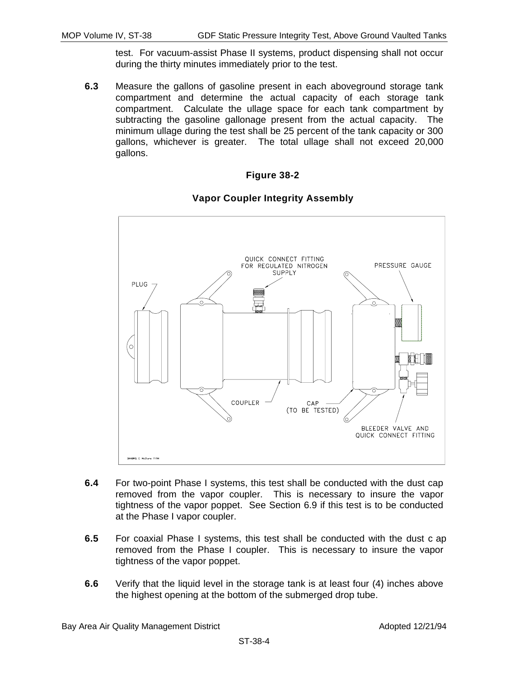test. For vacuum-assist Phase II systems, product dispensing shall not occur during the thirty minutes immediately prior to the test.

**6.3** Measure the gallons of gasoline present in each aboveground storage tank compartment and determine the actual capacity of each storage tank compartment. Calculate the ullage space for each tank compartment by subtracting the gasoline gallonage present from the actual capacity. The minimum ullage during the test shall be 25 percent of the tank capacity or 300 gallons, whichever is greater. The total ullage shall not exceed 20,000 gallons.

#### **Figure 38-2**

#### **Vapor Coupler Integrity Assembly**



- **6.4** For two-point Phase I systems, this test shall be conducted with the dust cap removed from the vapor coupler. This is necessary to insure the vapor tightness of the vapor poppet. See Section 6.9 if this test is to be conducted at the Phase I vapor coupler.
- **6.5** For coaxial Phase I systems, this test shall be conducted with the dust c ap removed from the Phase I coupler. This is necessary to insure the vapor tightness of the vapor poppet.
- **6.6** Verify that the liquid level in the storage tank is at least four (4) inches above the highest opening at the bottom of the submerged drop tube.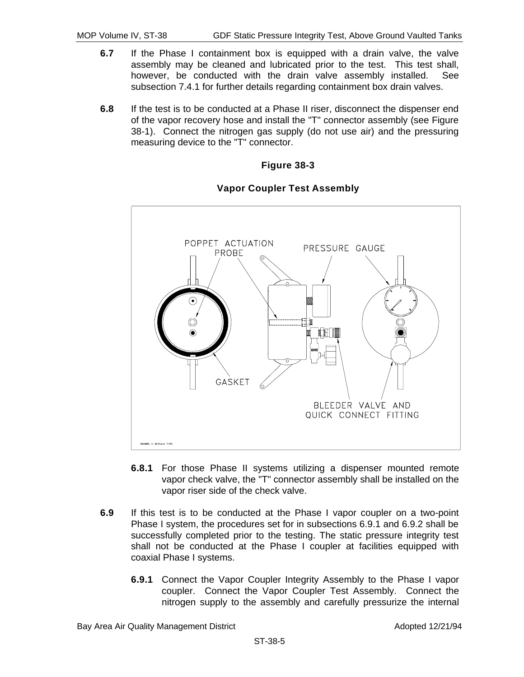- **6.7** If the Phase I containment box is equipped with a drain valve, the valve assembly may be cleaned and lubricated prior to the test. This test shall, however, be conducted with the drain valve assembly installed. See subsection 7.4.1 for further details regarding containment box drain valves.
- **6.8** If the test is to be conducted at a Phase II riser, disconnect the dispenser end of the vapor recovery hose and install the "T" connector assembly (see Figure 38-1). Connect the nitrogen gas supply (do not use air) and the pressuring measuring device to the "T" connector.





### **Vapor Coupler Test Assembly**

- **6.8.1** For those Phase II systems utilizing a dispenser mounted remote vapor check valve, the "T" connector assembly shall be installed on the vapor riser side of the check valve.
- **6.9** If this test is to be conducted at the Phase I vapor coupler on a two-point Phase I system, the procedures set for in subsections 6.9.1 and 6.9.2 shall be successfully completed prior to the testing. The static pressure integrity test shall not be conducted at the Phase I coupler at facilities equipped with coaxial Phase I systems.
	- **6.9.1** Connect the Vapor Coupler Integrity Assembly to the Phase I vapor coupler. Connect the Vapor Coupler Test Assembly. Connect the nitrogen supply to the assembly and carefully pressurize the internal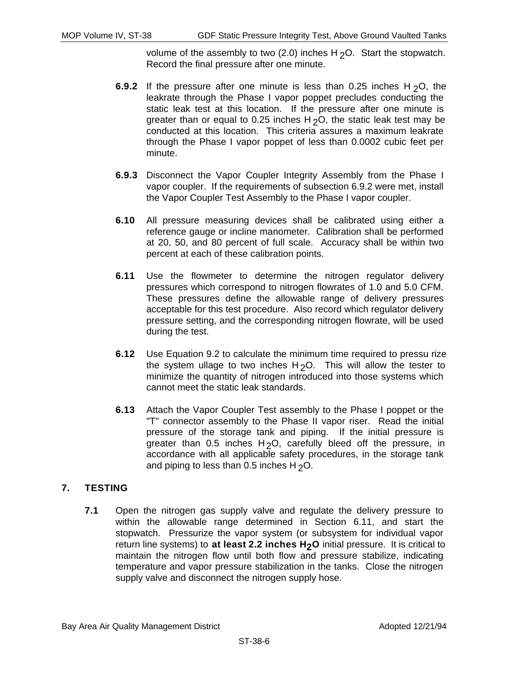volume of the assembly to two (2.0) inches  $H_2O$ . Start the stopwatch. Record the final pressure after one minute.

- **6.9.2** If the pressure after one minute is less than 0.25 inches H<sub>2</sub>O, the leakrate through the Phase I vapor poppet precludes conducting the static leak test at this location. If the pressure after one minute is greater than or equal to 0.25 inches  $H_2O$ , the static leak test may be conducted at this location. This criteria assures a maximum leakrate through the Phase I vapor poppet of less than 0.0002 cubic feet per minute.
- **6.9.3** Disconnect the Vapor Coupler Integrity Assembly from the Phase I vapor coupler. If the requirements of subsection 6.9.2 were met, install the Vapor Coupler Test Assembly to the Phase I vapor coupler.
- **6.10** All pressure measuring devices shall be calibrated using either a reference gauge or incline manometer. Calibration shall be performed at 20, 50, and 80 percent of full scale. Accuracy shall be within two percent at each of these calibration points.
- **6.11** Use the flowmeter to determine the nitrogen regulator delivery pressures which correspond to nitrogen flowrates of 1.0 and 5.0 CFM. These pressures define the allowable range of delivery pressures acceptable for this test procedure. Also record which regulator delivery pressure setting, and the corresponding nitrogen flowrate, will be used during the test.
- **6.12** Use Equation 9.2 to calculate the minimum time required to pressu rize the system ullage to two inches  $H_2O$ . This will allow the tester to minimize the quantity of nitrogen introduced into those systems which cannot meet the static leak standards.
- **6.13** Attach the Vapor Coupler Test assembly to the Phase I poppet or the "T" connector assembly to the Phase II vapor riser. Read the initial pressure of the storage tank and piping. If the initial pressure is greater than 0.5 inches  $H_2O$ , carefully bleed off the pressure, in accordance with all applicable safety procedures, in the storage tank and piping to less than 0.5 inches  $H_2O$ .

## **7. TESTING**

**7.1** Open the nitrogen gas supply valve and regulate the delivery pressure to within the allowable range determined in Section 6.11, and start the stopwatch. Pressurize the vapor system (or subsystem for individual vapor return line systems) to at least 2.2 inches H<sub>2</sub>O initial pressure. It is critical to maintain the nitrogen flow until both flow and pressure stabilize, indicating temperature and vapor pressure stabilization in the tanks. Close the nitrogen supply valve and disconnect the nitrogen supply hose.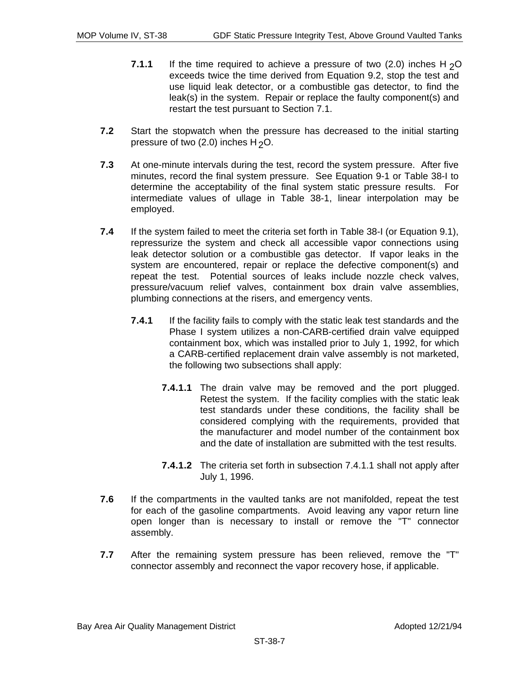- **7.1.1** If the time required to achieve a pressure of two  $(2.0)$  inches H<sub>2</sub>O exceeds twice the time derived from Equation 9.2, stop the test and use liquid leak detector, or a combustible gas detector, to find the leak(s) in the system. Repair or replace the faulty component(s) and restart the test pursuant to Section 7.1.
- **7.2** Start the stopwatch when the pressure has decreased to the initial starting pressure of two (2.0) inches  $H_2O$ .
- **7.3** At one-minute intervals during the test, record the system pressure. After five minutes, record the final system pressure. See Equation 9-1 or Table 38-I to determine the acceptability of the final system static pressure results. For intermediate values of ullage in Table 38-1, linear interpolation may be employed.
- **7.4** If the system failed to meet the criteria set forth in Table 38-I (or Equation 9.1), repressurize the system and check all accessible vapor connections using leak detector solution or a combustible gas detector. If vapor leaks in the system are encountered, repair or replace the defective component(s) and repeat the test. Potential sources of leaks include nozzle check valves, pressure/vacuum relief valves, containment box drain valve assemblies, plumbing connections at the risers, and emergency vents.
	- **7.4.1** If the facility fails to comply with the static leak test standards and the Phase I system utilizes a non-CARB-certified drain valve equipped containment box, which was installed prior to July 1, 1992, for which a CARB-certified replacement drain valve assembly is not marketed, the following two subsections shall apply:
		- **7.4.1.1** The drain valve may be removed and the port plugged. Retest the system. If the facility complies with the static leak test standards under these conditions, the facility shall be considered complying with the requirements, provided that the manufacturer and model number of the containment box and the date of installation are submitted with the test results.
		- **7.4.1.2** The criteria set forth in subsection 7.4.1.1 shall not apply after July 1, 1996.
- **7.6** If the compartments in the vaulted tanks are not manifolded, repeat the test for each of the gasoline compartments. Avoid leaving any vapor return line open longer than is necessary to install or remove the "T" connector assembly.
- **7.7** After the remaining system pressure has been relieved, remove the "T" connector assembly and reconnect the vapor recovery hose, if applicable.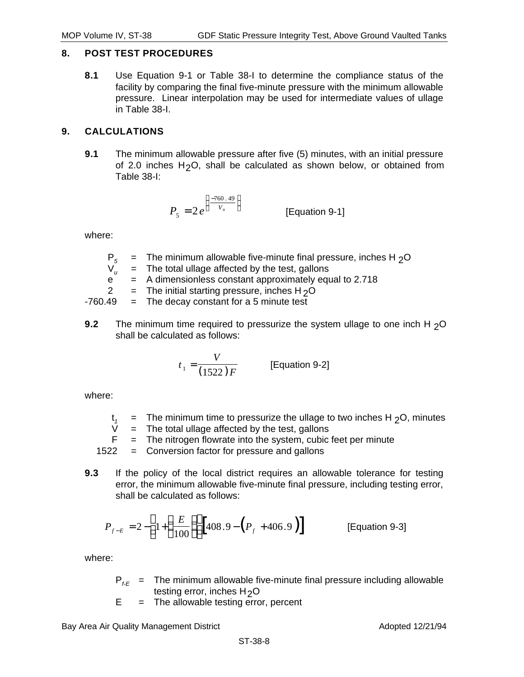### **8. POST TEST PROCEDURES**

**8.1** Use Equation 9-1 or Table 38-I to determine the compliance status of the facility by comparing the final five-minute pressure with the minimum allowable pressure. Linear interpolation may be used for intermediate values of ullage in Table 38-I.

### **9. CALCULATIONS**

**9.1** The minimum allowable pressure after five (5) minutes, with an initial pressure of 2.0 inches  $H_2O$ , shall be calculated as shown below, or obtained from Table 38-I:

$$
P_5 = 2e^{\left(\frac{-760.49}{V_u}\right)}
$$
 [Equation 9-1]

where:

|   | $P_5$ = The minimum allowable five-minute final pressure, inches H $_2$ O |
|---|---------------------------------------------------------------------------|
|   | $V_{u}$ = The total ullage affected by the test, gallons                  |
| e | $=$ A dimensionless constant approximately equal to 2.718                 |
|   | $=$ The initial starting pressure, inches H <sub>2</sub> O                |
|   | $-760.49$ = The decay constant for a 5 minute test                        |
|   |                                                                           |

**9.2** The minimum time required to pressurize the system ullage to one inch H <sub>2</sub>O shall be calculated as follows:

$$
t_1 = \frac{V}{(1522)F}
$$
 [Equation 9-2]

where:

- $t_1$  = The minimum time to pressurize the ullage to two inches H <sub>2</sub>O, minutes  $V =$  The total ullage affected by the test, gallons
- $=$  The total ullage affected by the test, gallons
- $F =$  The nitrogen flowrate into the system, cubic feet per minute
- 1522 = Conversion factor for pressure and gallons
- **9.3** If the policy of the local district requires an allowable tolerance for testing error, the minimum allowable five-minute final pressure, including testing error, shall be calculated as follows:

$$
P_{f-E} = 2 - \left[ 1 + \left( \frac{E}{100} \right) \right] \left[ 408.9 - \left( P_f + 406.9 \right) \right]
$$
 [Equation 9-3]

where:

- $P_{f,F}$  = The minimum allowable five-minute final pressure including allowable testing error, inches  $H_2O$
- $E =$  The allowable testing error, percent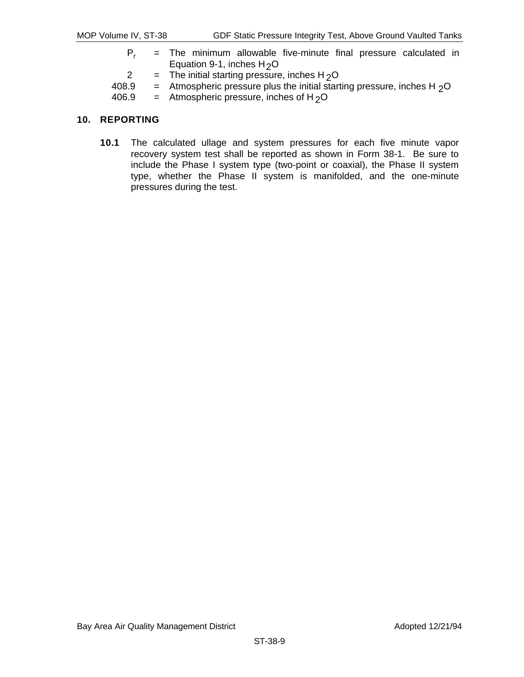- $P_f$  = The minimum allowable five-minute final pressure calculated in Equation 9-1, inches  $H_2O$
- 2 = The initial starting pressure, inches H<sub>2</sub>O<br>408.9 = Atmospheric pressure plus the initial start
- 408.9 = Atmospheric pressure plus the initial starting pressure, inches H  $_2$ O<br>406.9 = Atmospheric pressure, inches of H  $_2$ O

 $=$  Atmospheric pressure, inches of H<sub>2</sub>O

#### **10. REPORTING**

**10.1** The calculated ullage and system pressures for each five minute vapor recovery system test shall be reported as shown in Form 38-1. Be sure to include the Phase I system type (two-point or coaxial), the Phase II system type, whether the Phase II system is manifolded, and the one-minute pressures during the test.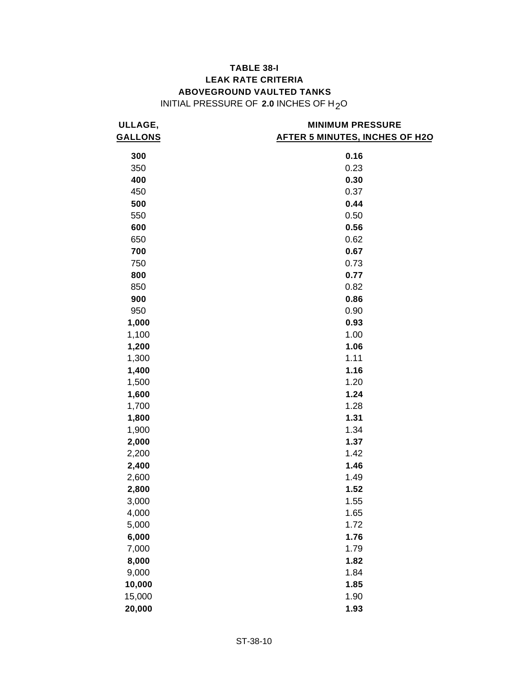## **TABLE 38-I LEAK RATE CRITERIA ABOVEGROUND VAULTED TANKS**  INITIAL PRESSURE OF **2.0** INCHES OF H2O

| ULLAGE,        | <b>MINIMUM PRESSURE</b>               |  |  |  |
|----------------|---------------------------------------|--|--|--|
| <b>GALLONS</b> | <b>AFTER 5 MINUTES, INCHES OF H2O</b> |  |  |  |
|                |                                       |  |  |  |
| 300            | 0.16                                  |  |  |  |
| 350            | 0.23                                  |  |  |  |
| 400            | 0.30                                  |  |  |  |
| 450            | 0.37                                  |  |  |  |
| 500            | 0.44                                  |  |  |  |
| 550            | 0.50                                  |  |  |  |
| 600            | 0.56                                  |  |  |  |
| 650            | 0.62                                  |  |  |  |
| 700            | 0.67                                  |  |  |  |
| 750            | 0.73                                  |  |  |  |
| 800            | 0.77                                  |  |  |  |
| 850            | 0.82                                  |  |  |  |
| 900            | 0.86                                  |  |  |  |
| 950            | 0.90                                  |  |  |  |
| 1,000          | 0.93                                  |  |  |  |
| 1,100          | 1.00                                  |  |  |  |
| 1,200          | 1.06                                  |  |  |  |
| 1,300          | 1.11                                  |  |  |  |
| 1,400          | 1.16                                  |  |  |  |
| 1,500          | 1.20                                  |  |  |  |
| 1,600          | 1.24                                  |  |  |  |
| 1,700          | 1.28                                  |  |  |  |
| 1,800          | 1.31                                  |  |  |  |
| 1,900          | 1.34                                  |  |  |  |
| 2,000          | 1.37                                  |  |  |  |
| 2,200          | 1.42                                  |  |  |  |
| 2,400          | 1.46                                  |  |  |  |
| 2,600          | 1.49                                  |  |  |  |
| 2,800          | 1.52                                  |  |  |  |
| 3,000          | 1.55                                  |  |  |  |
| 4,000          | 1.65                                  |  |  |  |
| 5,000          | 1.72                                  |  |  |  |
| 6,000          | 1.76                                  |  |  |  |
| 7,000          | 1.79                                  |  |  |  |
| 8,000          | 1.82                                  |  |  |  |
| 9,000          | 1.84                                  |  |  |  |
| 10,000         | 1.85                                  |  |  |  |
| 15,000         | 1.90                                  |  |  |  |
| 20,000         | 1.93                                  |  |  |  |